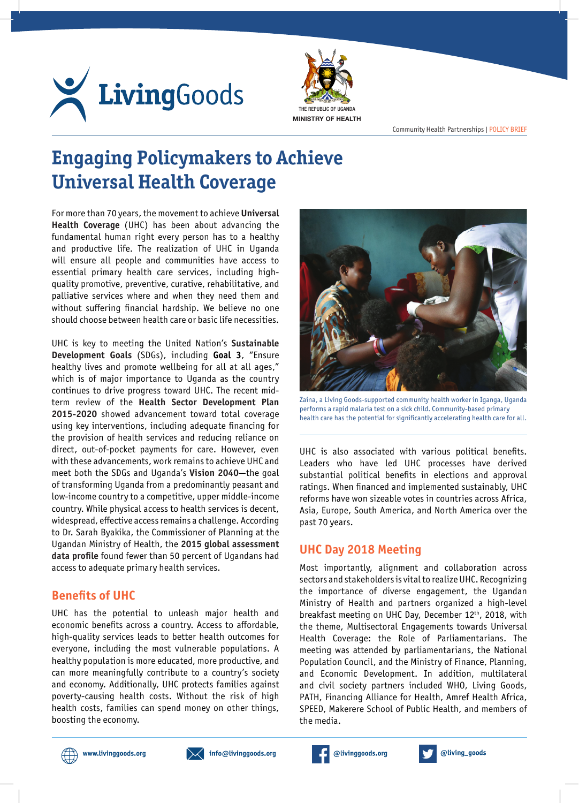



Community Health Partnerships | POLICY BRIEF

# **Engaging Policymakers to Achieve Universal Health Coverage**

For more than 70 years, the movement to achieve **Universal Health Coverage** (UHC) has been about advancing the fundamental human right every person has to a healthy and productive life. The realization of UHC in Uganda will ensure all people and communities have access to essential primary health care services, including highquality promotive, preventive, curative, rehabilitative, and palliative services where and when they need them and without suffering financial hardship. We believe no one should choose between health care or basic life necessities.

UHC is key to meeting the United Nation's **Sustainable Development Goals** (SDGs), including **Goal 3**, "Ensure healthy lives and promote wellbeing for all at all ages," which is of major importance to Uganda as the country continues to drive progress toward UHC. The recent midterm review of the **Health Sector Development Plan 2015-2020** showed advancement toward total coverage using key interventions, including adequate financing for the provision of health services and reducing reliance on direct, out-of-pocket payments for care. However, even with these advancements, work remains to achieve UHC and meet both the SDGs and Uganda's **Vision 2040**—the goal of transforming Uganda from a predominantly peasant and low-income country to a competitive, upper middle-income country. While physical access to health services is decent, widespread, effective access remains a challenge. According to Dr. Sarah Byakika, the Commissioner of Planning at the Ugandan Ministry of Health, the **2015 global assessment data profile** found fewer than 50 percent of Ugandans had access to adequate primary health services.

# **Benefits of UHC**

UHC has the potential to unleash major health and economic benefits across a country. Access to affordable, high-quality services leads to better health outcomes for everyone, including the most vulnerable populations. A healthy population is more educated, more productive, and can more meaningfully contribute to a country's society and economy. Additionally, UHC protects families against poverty-causing health costs. Without the risk of high health costs, families can spend money on other things, boosting the economy.



Zaina, a Living Goods-supported community health worker in Iganga, Uganda performs a rapid malaria test on a sick child. Community-based primary health care has the potential for significantly accelerating health care for all.

UHC is also associated with various political benefits. Leaders who have led UHC processes have derived substantial political benefits in elections and approval ratings. When financed and implemented sustainably, UHC reforms have won sizeable votes in countries across Africa, Asia, Europe, South America, and North America over the past 70 years.

# **UHC Day 2018 Meeting**

Most importantly, alignment and collaboration across sectors and stakeholders is vital to realize UHC. Recognizing the importance of diverse engagement, the Ugandan Ministry of Health and partners organized a high-level breakfast meeting on UHC Day, December 12th, 2018, with the theme, Multisectoral Engagements towards Universal Health Coverage: the Role of Parliamentarians. The meeting was attended by parliamentarians, the National Population Council, and the Ministry of Finance, Planning, and Economic Development. In addition, multilateral and civil society partners included WHO, Living Goods, PATH, Financing Alliance for Health, Amref Health Africa, SPEED, Makerere School of Public Health, and members of the media.